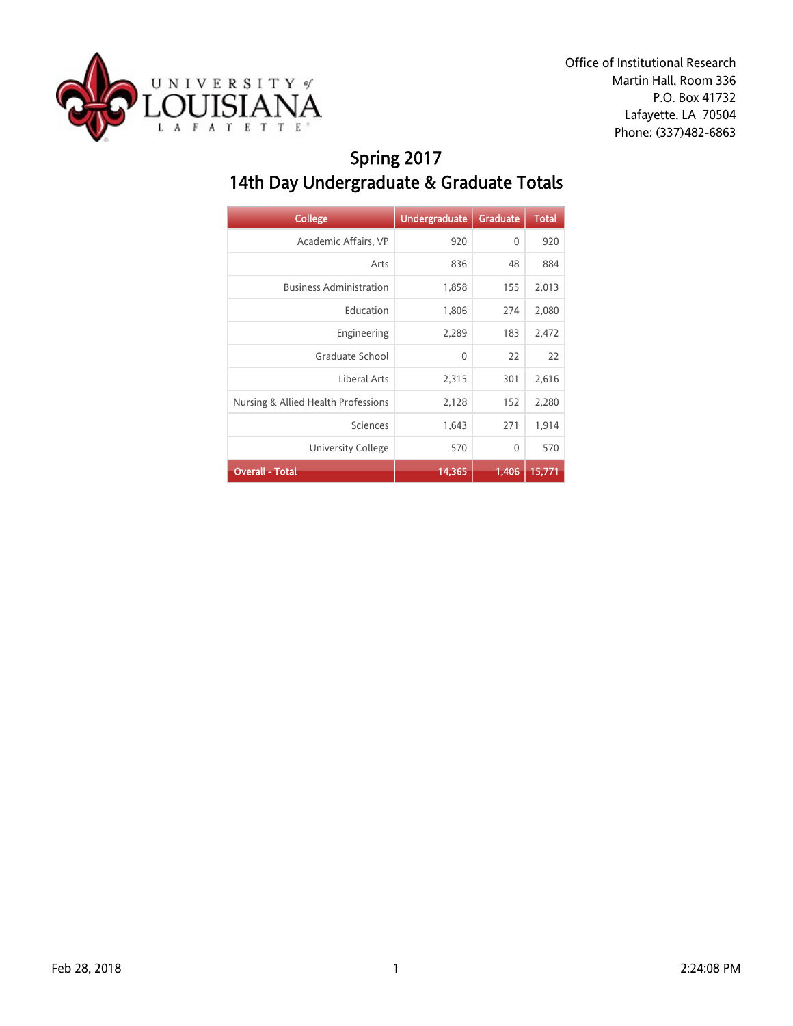

Office of Institutional Research Martin Hall, Room 336 P.O. Box 41732 Lafayette, LA 70504 Phone: (337)482-6863

## Spring 2017 14th Day Undergraduate & Graduate Totals

| <b>College</b>                      | <b>Undergraduate</b> | <b>Graduate</b> | <b>Total</b> |
|-------------------------------------|----------------------|-----------------|--------------|
| Academic Affairs, VP                | 920                  | 0               | 920          |
| Arts                                | 836                  | 48              | 884          |
| <b>Business Administration</b>      | 1,858                | 155             | 2,013        |
| Education                           | 1,806                | 274             | 2,080        |
| Engineering                         | 2,289                | 183             | 2,472        |
| Graduate School                     | $\mathbf{0}$         | 22              | 22           |
| Liberal Arts                        | 2,315                | 301             | 2,616        |
| Nursing & Allied Health Professions | 2,128                | 152             | 2,280        |
| Sciences                            | 1,643                | 271             | 1,914        |
| University College                  | 570                  | $\mathbf{0}$    | 570          |
| <b>Overall - Total</b>              | 14,365               | 1,406           | 15,771       |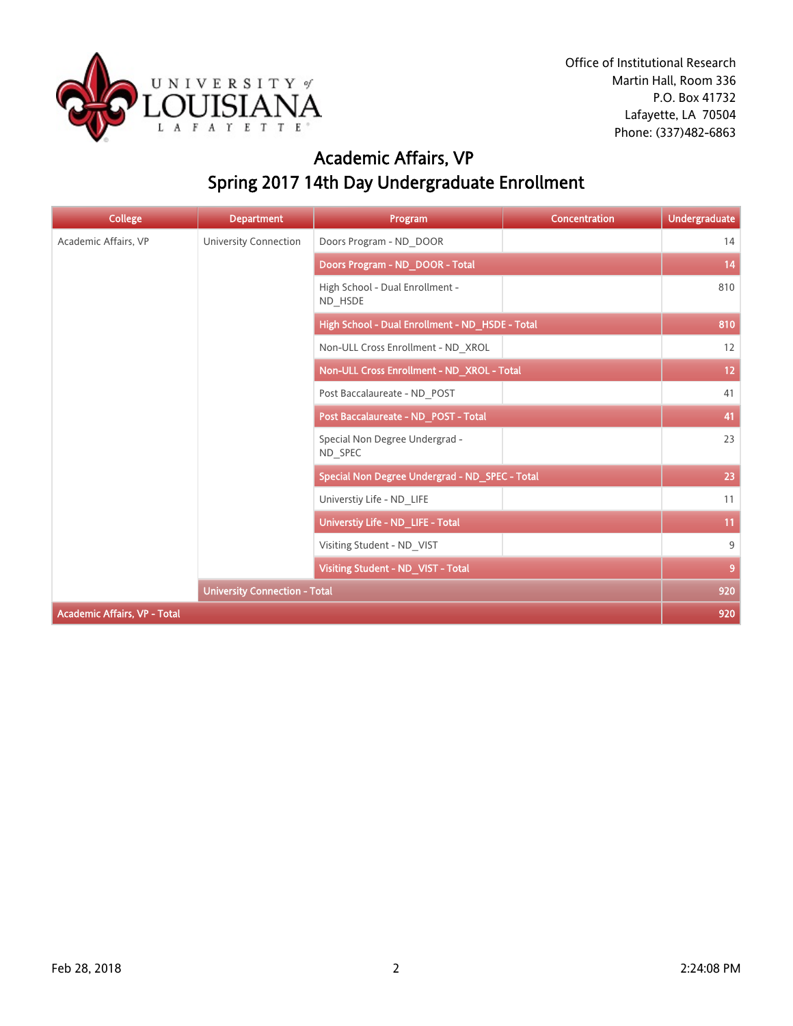

# Academic Affairs, VP Spring 2017 14th Day Undergraduate Enrollment

| <b>College</b>                       | <b>Department</b>                          | Program                                         | <b>Concentration</b> | <b>Undergraduate</b> |
|--------------------------------------|--------------------------------------------|-------------------------------------------------|----------------------|----------------------|
| Academic Affairs, VP                 | <b>University Connection</b>               | Doors Program - ND DOOR                         |                      | 14                   |
|                                      |                                            | Doors Program - ND DOOR - Total                 |                      | 14                   |
|                                      | High School - Dual Enrollment -<br>ND_HSDE |                                                 | 810                  |                      |
|                                      |                                            | High School - Dual Enrollment - ND_HSDE - Total |                      | 810                  |
|                                      |                                            | Non-ULL Cross Enrollment - ND_XROL              |                      | 12                   |
|                                      |                                            | Non-ULL Cross Enrollment - ND_XROL - Total      |                      | 12 <sub>2</sub>      |
|                                      |                                            | Post Baccalaureate - ND POST                    |                      | 41                   |
|                                      |                                            | Post Baccalaureate - ND_POST - Total            |                      | 41                   |
|                                      |                                            | Special Non Degree Undergrad -<br>ND SPEC       |                      | 23                   |
|                                      |                                            | Special Non Degree Undergrad - ND_SPEC - Total  |                      | 23                   |
|                                      |                                            | Universtiy Life - ND_LIFE                       |                      | 11                   |
|                                      |                                            | Universtiy Life - ND_LIFE - Total               |                      | 11                   |
|                                      |                                            | Visiting Student - ND VIST                      |                      | 9                    |
|                                      |                                            | Visiting Student - ND_VIST - Total              |                      | 9                    |
| <b>University Connection - Total</b> |                                            |                                                 |                      |                      |
| <b>Academic Affairs, VP - Total</b>  |                                            |                                                 |                      | 920                  |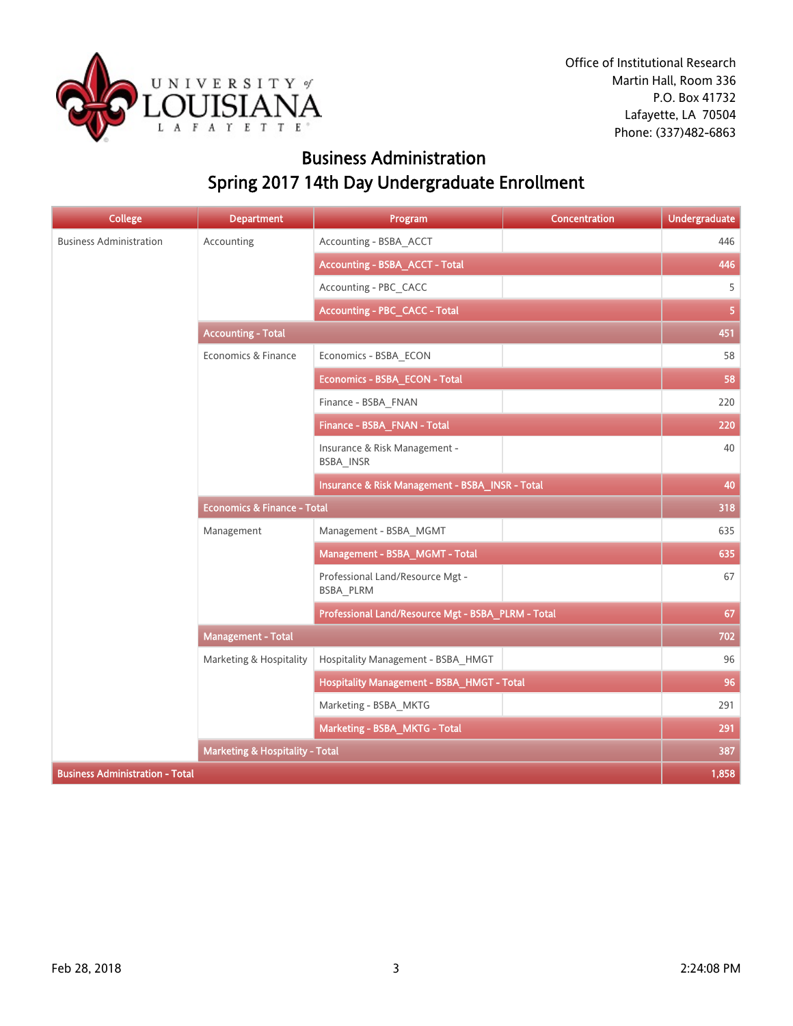

## Business Administration Spring 2017 14th Day Undergraduate Enrollment

| <b>College</b>                             | <b>Department</b>                      | Program                                            | Concentration | <b>Undergraduate</b> |
|--------------------------------------------|----------------------------------------|----------------------------------------------------|---------------|----------------------|
| <b>Business Administration</b>             | Accounting                             | Accounting - BSBA_ACCT                             |               | 446                  |
|                                            |                                        | <b>Accounting - BSBA_ACCT - Total</b>              |               | 446                  |
|                                            |                                        | Accounting - PBC_CACC                              |               | 5                    |
|                                            |                                        | <b>Accounting - PBC_CACC - Total</b>               |               | 5 <sup>1</sup>       |
|                                            | <b>Accounting - Total</b>              |                                                    |               | 451                  |
|                                            | Economics & Finance                    | Economics - BSBA_ECON                              |               | 58                   |
|                                            |                                        | Economics - BSBA_ECON - Total                      |               | 58                   |
|                                            |                                        | Finance - BSBA FNAN                                |               | 220                  |
|                                            |                                        | Finance - BSBA_FNAN - Total                        |               | 220                  |
|                                            |                                        | Insurance & Risk Management -<br>BSBA_INSR         |               | 40                   |
|                                            |                                        | Insurance & Risk Management - BSBA_INSR - Total    |               | 40                   |
|                                            | <b>Economics &amp; Finance - Total</b> |                                                    |               | 318                  |
|                                            | Management                             | Management - BSBA MGMT                             |               | 635                  |
|                                            |                                        | Management - BSBA_MGMT - Total                     |               | 635                  |
|                                            |                                        | Professional Land/Resource Mgt -<br>BSBA_PLRM      |               | 67                   |
|                                            |                                        | Professional Land/Resource Mgt - BSBA_PLRM - Total |               | 67                   |
|                                            | <b>Management - Total</b>              |                                                    |               | 702                  |
|                                            | Marketing & Hospitality                | Hospitality Management - BSBA_HMGT                 |               | 96                   |
|                                            |                                        | Hospitality Management - BSBA_HMGT - Total         |               | 96                   |
|                                            |                                        | Marketing - BSBA_MKTG                              |               | 291                  |
|                                            |                                        | Marketing - BSBA_MKTG - Total                      |               | 291                  |
| <b>Marketing &amp; Hospitality - Total</b> |                                        |                                                    | 387           |                      |
| <b>Business Administration - Total</b>     |                                        |                                                    |               | 1,858                |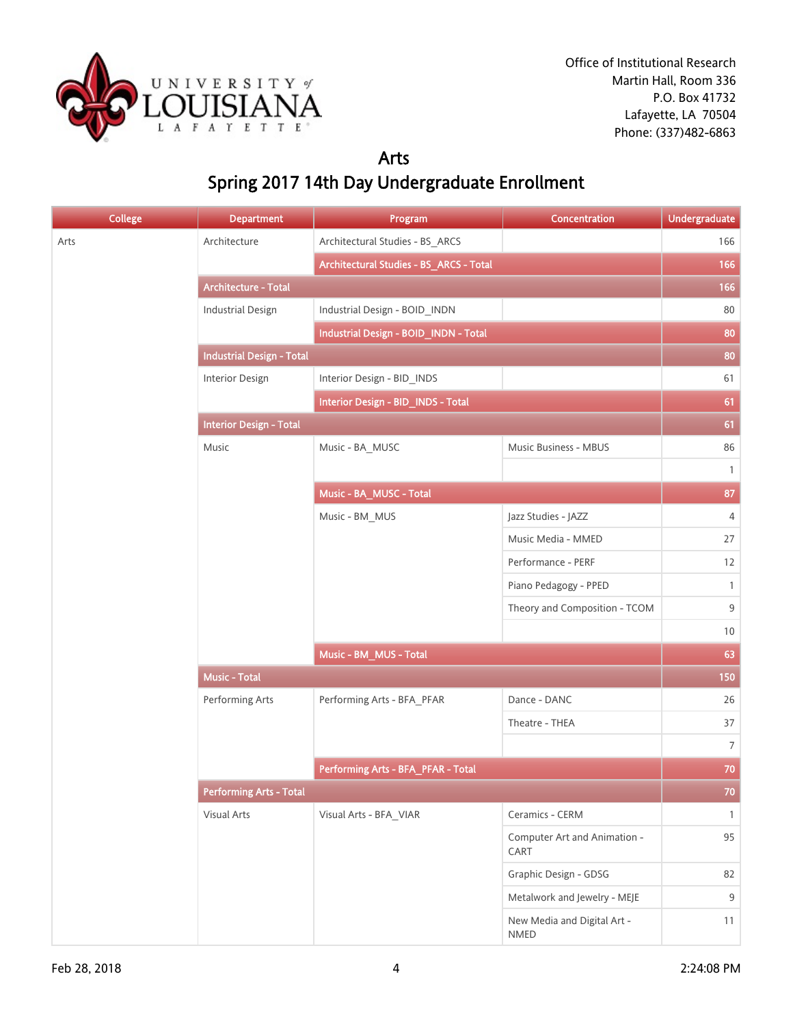

#### Arts Spring 2017 14th Day Undergraduate Enrollment

| <b>College</b> | <b>Department</b>                | Program                                 | Concentration                        | <b>Undergraduate</b> |
|----------------|----------------------------------|-----------------------------------------|--------------------------------------|----------------------|
| Arts           | Architecture                     | Architectural Studies - BS_ARCS         |                                      | 166                  |
|                |                                  | Architectural Studies - BS_ARCS - Total |                                      | 166                  |
|                | <b>Architecture - Total</b>      |                                         |                                      | 166                  |
|                | <b>Industrial Design</b>         | Industrial Design - BOID_INDN           |                                      | 80                   |
|                |                                  | Industrial Design - BOID_INDN - Total   |                                      | 80                   |
|                | <b>Industrial Design - Total</b> |                                         |                                      | 80                   |
|                | Interior Design                  | Interior Design - BID_INDS              |                                      | 61                   |
|                |                                  | Interior Design - BID_INDS - Total      |                                      | 61                   |
|                | <b>Interior Design - Total</b>   |                                         |                                      | 61                   |
|                | Music                            | Music - BA_MUSC                         | Music Business - MBUS                | 86                   |
|                |                                  |                                         |                                      | $\mathbf{1}$         |
|                |                                  | Music - BA_MUSC - Total                 |                                      | 87                   |
|                |                                  | Music - BM MUS                          | Jazz Studies - JAZZ                  | $\overline{4}$       |
|                |                                  |                                         | Music Media - MMED                   | 27                   |
|                |                                  |                                         | Performance - PERF                   | 12                   |
|                |                                  |                                         | Piano Pedagogy - PPED                | $\mathbf{1}$         |
|                |                                  |                                         | Theory and Composition - TCOM        | 9                    |
|                |                                  |                                         |                                      | 10                   |
|                |                                  | Music - BM_MUS - Total                  |                                      | 63                   |
|                | <b>Music - Total</b>             |                                         |                                      | 150                  |
|                | Performing Arts                  | Performing Arts - BFA_PFAR              | Dance - DANC                         | 26                   |
|                |                                  |                                         | Theatre - THEA                       | 37                   |
|                |                                  |                                         |                                      | $\overline{7}$       |
|                |                                  | Performing Arts - BFA_PFAR - Total      |                                      | 70                   |
|                | <b>Performing Arts - Total</b>   |                                         |                                      | $70\,$               |
|                | Visual Arts                      | Visual Arts - BFA_VIAR                  | Ceramics - CERM                      | $\mathbf{1}$         |
|                |                                  |                                         | Computer Art and Animation -<br>CART | 95                   |
|                |                                  |                                         | Graphic Design - GDSG                | 82                   |
|                |                                  |                                         | Metalwork and Jewelry - MEJE         | 9                    |
|                |                                  |                                         | New Media and Digital Art -<br>NMED  | 11                   |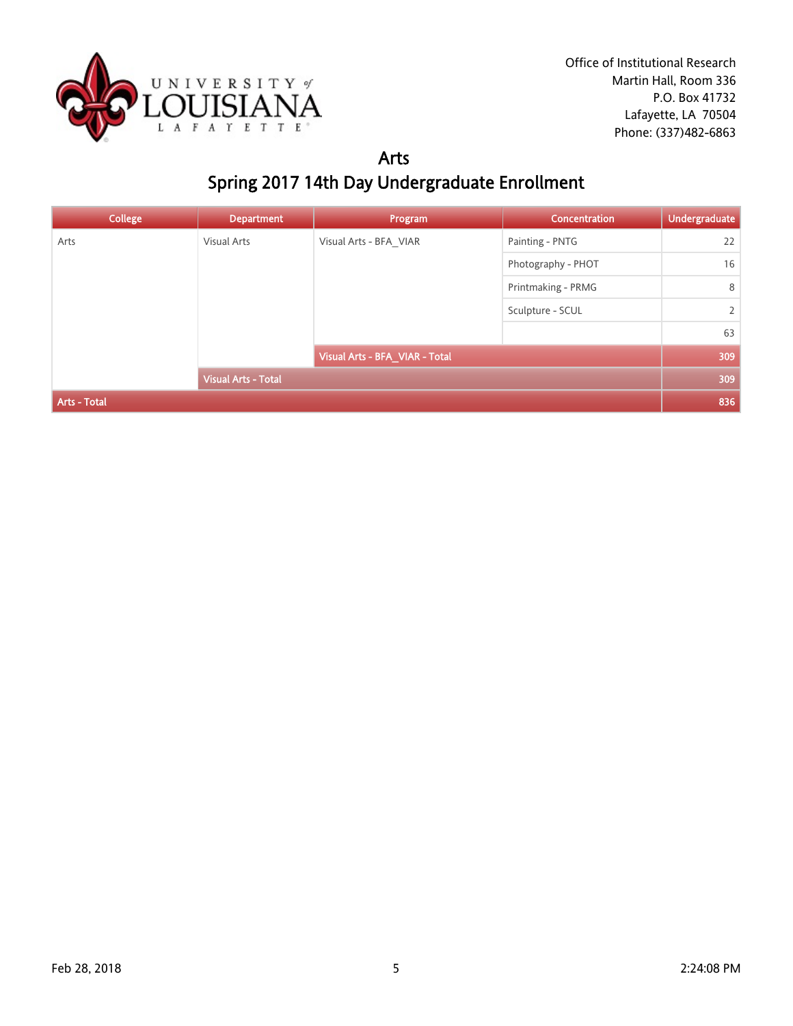

#### Arts Spring 2017 14th Day Undergraduate Enrollment

| <b>College</b> | <b>Department</b>          | Program                        | <b>Concentration</b> | Undergraduate |
|----------------|----------------------------|--------------------------------|----------------------|---------------|
| Arts           | <b>Visual Arts</b>         | Visual Arts - BFA VIAR         | Painting - PNTG      | 22            |
|                |                            |                                | Photography - PHOT   | 16            |
|                |                            |                                | Printmaking - PRMG   | 8             |
|                |                            | Sculpture - SCUL               | $\overline{2}$       |               |
|                |                            |                                | 63                   |               |
|                |                            | Visual Arts - BFA_VIAR - Total |                      | 309           |
|                | <b>Visual Arts - Total</b> |                                |                      | 309           |
| Arts - Total   |                            |                                |                      | 836           |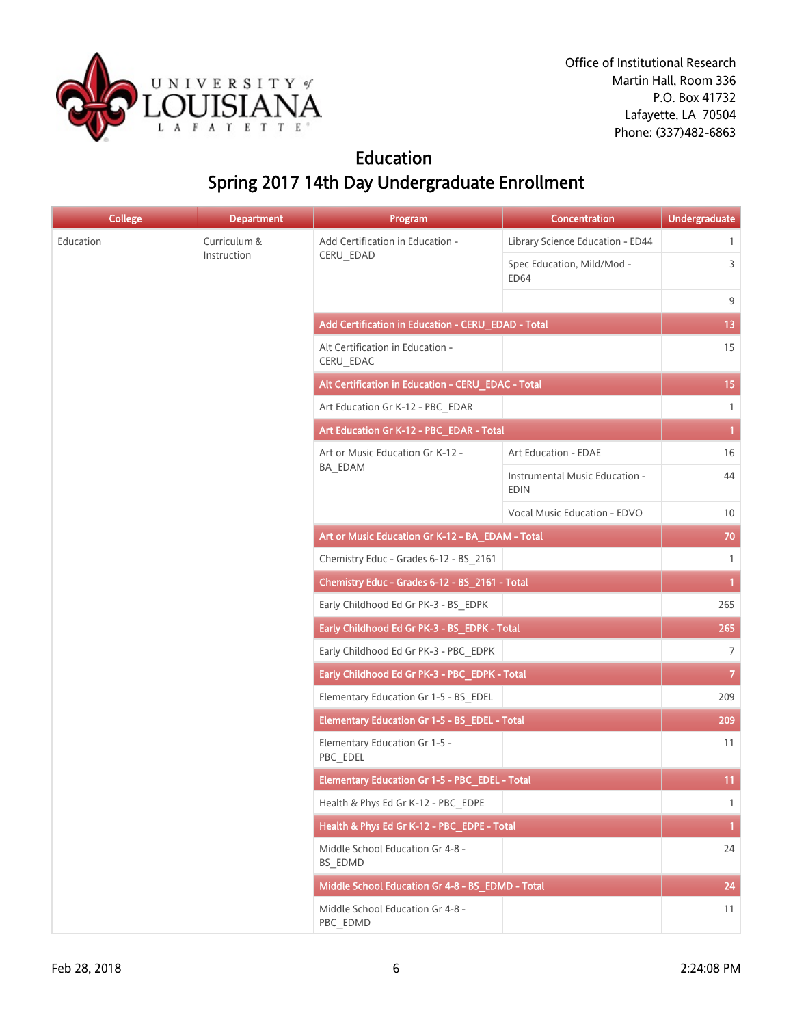

Office of Institutional Research Martin Hall, Room 336 P.O. Box 41732 Lafayette, LA 70504 Phone: (337)482-6863

#### Education Spring 2017 14th Day Undergraduate Enrollment

| <b>College</b> | <b>Department</b> | Program                                            | Concentration                                 | <b>Undergraduate</b> |
|----------------|-------------------|----------------------------------------------------|-----------------------------------------------|----------------------|
| Education      | Curriculum &      | Add Certification in Education -                   | Library Science Education - ED44              | $\mathbf{1}$         |
|                | Instruction       | CERU_EDAD                                          | Spec Education, Mild/Mod -<br><b>ED64</b>     | 3                    |
|                |                   |                                                    |                                               | 9                    |
|                |                   | Add Certification in Education - CERU_EDAD - Total |                                               | 13                   |
|                |                   | Alt Certification in Education -<br>CERU_EDAC      |                                               | 15                   |
|                |                   | Alt Certification in Education - CERU_EDAC - Total |                                               | 15                   |
|                |                   | Art Education Gr K-12 - PBC_EDAR                   |                                               | 1                    |
|                |                   | Art Education Gr K-12 - PBC_EDAR - Total           |                                               | $\mathbf{1}$         |
|                |                   | Art or Music Education Gr K-12 -                   | Art Education - EDAE                          | 16                   |
|                |                   | BA_EDAM                                            | Instrumental Music Education -<br><b>EDIN</b> | 44                   |
|                |                   |                                                    | Vocal Music Education - EDVO                  | 10                   |
|                |                   | Art or Music Education Gr K-12 - BA_EDAM - Total   |                                               | 70                   |
|                |                   | Chemistry Educ - Grades 6-12 - BS_2161             |                                               | 1                    |
|                |                   | Chemistry Educ - Grades 6-12 - BS_2161 - Total     |                                               | $\mathbf{1}$         |
|                |                   | Early Childhood Ed Gr PK-3 - BS_EDPK               |                                               | 265                  |
|                |                   | Early Childhood Ed Gr PK-3 - BS_EDPK - Total       |                                               | 265                  |
|                |                   | Early Childhood Ed Gr PK-3 - PBC_EDPK              |                                               | $7\overline{ }$      |
|                |                   | Early Childhood Ed Gr PK-3 - PBC_EDPK - Total      |                                               | $\mathbf{7}$         |
|                |                   | Elementary Education Gr 1-5 - BS_EDEL              |                                               | 209                  |
|                |                   | Elementary Education Gr 1-5 - BS_EDEL - Total      |                                               | 209                  |
|                |                   | Elementary Education Gr 1-5 -<br>PBC_EDEL          |                                               | 11                   |
|                |                   | Elementary Education Gr 1-5 - PBC EDEL - Total     |                                               | 11                   |
|                |                   | Health & Phys Ed Gr K-12 - PBC_EDPE                |                                               | $\mathbf{1}$         |
|                |                   | Health & Phys Ed Gr K-12 - PBC_EDPE - Total        |                                               | $\mathbf{1}$         |
|                |                   | Middle School Education Gr 4-8 -<br>BS_EDMD        |                                               | 24                   |
|                |                   | Middle School Education Gr 4-8 - BS EDMD - Total   |                                               | 24                   |
|                |                   | Middle School Education Gr 4-8 -<br>PBC_EDMD       |                                               | 11                   |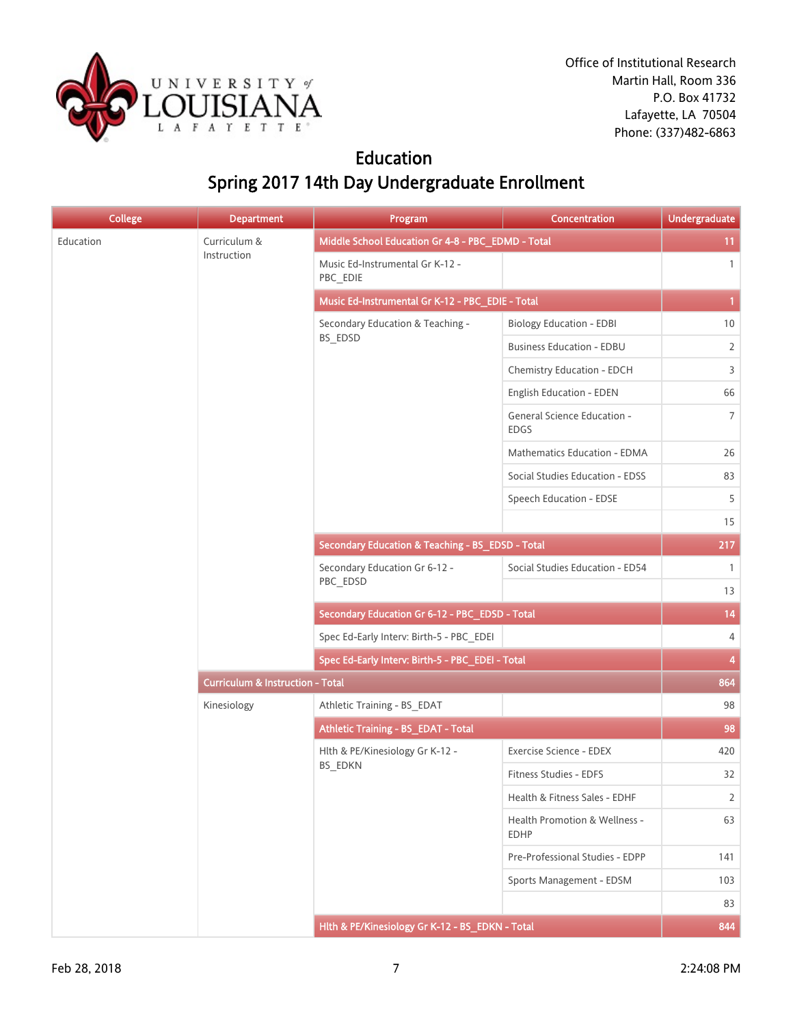

Office of Institutional Research Martin Hall, Room 336 P.O. Box 41732 Lafayette, LA 70504 Phone: (337)482-6863

#### Education Spring 2017 14th Day Undergraduate Enrollment

| <b>College</b> | <b>Department</b>                           | Program                                           | Concentration                                | <b>Undergraduate</b> |
|----------------|---------------------------------------------|---------------------------------------------------|----------------------------------------------|----------------------|
| Education      | Curriculum &                                | Middle School Education Gr 4-8 - PBC_EDMD - Total |                                              | 11                   |
|                | Instruction                                 | Music Ed-Instrumental Gr K-12 -<br>PBC_EDIE       |                                              | $\mathbf{1}$         |
|                |                                             | Music Ed-Instrumental Gr K-12 - PBC_EDIE - Total  |                                              | $\mathbf{1}$         |
|                |                                             | Secondary Education & Teaching -                  | <b>Biology Education - EDBI</b>              | 10                   |
|                |                                             | BS_EDSD                                           | <b>Business Education - EDBU</b>             | $\overline{2}$       |
|                |                                             |                                                   | Chemistry Education - EDCH                   | 3                    |
|                |                                             |                                                   | English Education - EDEN                     | 66                   |
|                |                                             |                                                   | General Science Education -<br><b>EDGS</b>   | $\overline{7}$       |
|                |                                             |                                                   | Mathematics Education - EDMA                 | 26                   |
|                |                                             |                                                   | Social Studies Education - EDSS              | 83                   |
|                |                                             |                                                   | Speech Education - EDSE                      | 5                    |
|                |                                             |                                                   |                                              | 15                   |
|                |                                             | Secondary Education & Teaching - BS_EDSD - Total  |                                              | 217                  |
|                |                                             | Secondary Education Gr 6-12 -<br>PBC_EDSD         | Social Studies Education - ED54              | $\mathbf{1}$         |
|                |                                             |                                                   |                                              | 13                   |
|                |                                             | Secondary Education Gr 6-12 - PBC_EDSD - Total    |                                              | 14                   |
|                |                                             | Spec Ed-Early Interv: Birth-5 - PBC_EDEI          |                                              | 4                    |
|                |                                             | Spec Ed-Early Interv: Birth-5 - PBC_EDEI - Total  |                                              | 4                    |
|                | <b>Curriculum &amp; Instruction - Total</b> |                                                   |                                              | 864                  |
|                | Kinesiology                                 | Athletic Training - BS_EDAT                       |                                              | 98                   |
|                |                                             | Athletic Training - BS_EDAT - Total               |                                              | 98                   |
|                |                                             | Hlth & PE/Kinesiology Gr K-12 -                   | Exercise Science - EDEX                      | 420                  |
|                |                                             | <b>BS EDKN</b>                                    | Fitness Studies - EDFS                       | 32                   |
|                |                                             |                                                   | Health & Fitness Sales - EDHF                | $\overline{2}$       |
|                |                                             |                                                   | Health Promotion & Wellness -<br><b>EDHP</b> | 63                   |
|                |                                             |                                                   | Pre-Professional Studies - EDPP              | 141                  |
|                |                                             |                                                   | Sports Management - EDSM                     | 103                  |
|                |                                             |                                                   |                                              | 83                   |
|                |                                             | Hlth & PE/Kinesiology Gr K-12 - BS_EDKN - Total   |                                              | 844                  |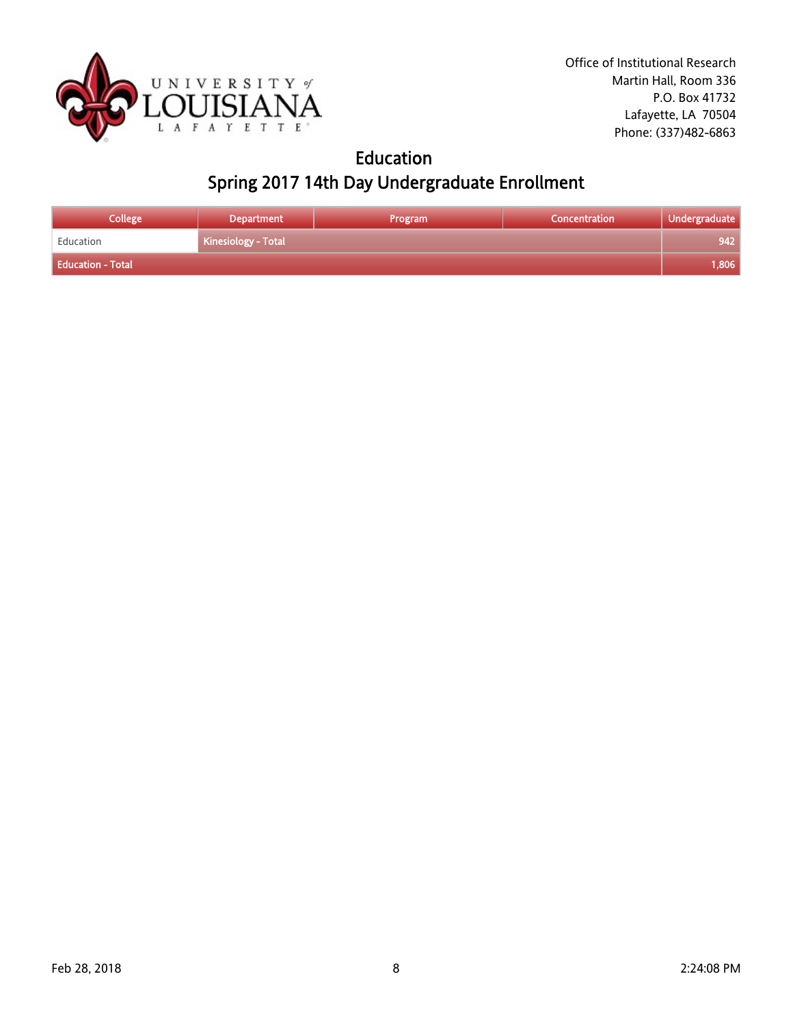

## Education Spring 2017 14th Day Undergraduate Enrollment

| <b>College</b>           | <b>Department</b>   | Program | Concentration | Undergraduate |
|--------------------------|---------------------|---------|---------------|---------------|
| Education                | Kinesiology - Total |         |               | 942           |
| <b>Education - Total</b> |                     |         |               | 1,806         |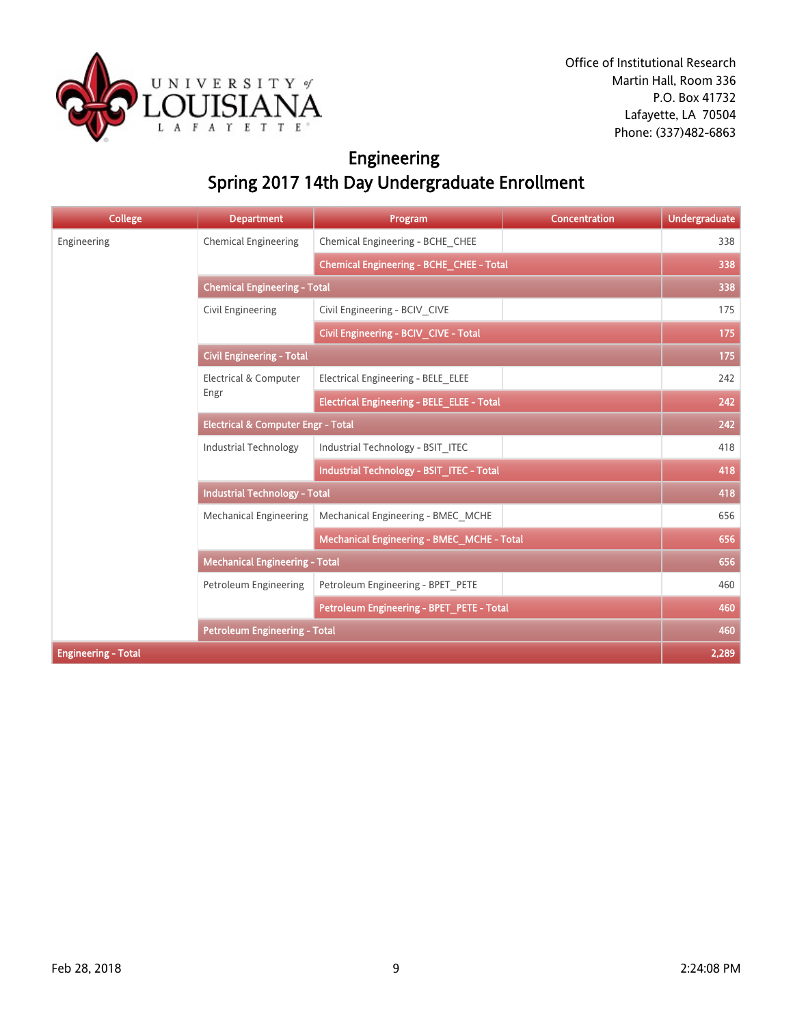

## Engineering Spring 2017 14th Day Undergraduate Enrollment

| <b>College</b>             | <b>Department</b>                             | Program                                           | Concentration | <b>Undergraduate</b> |  |
|----------------------------|-----------------------------------------------|---------------------------------------------------|---------------|----------------------|--|
| Engineering                | <b>Chemical Engineering</b>                   | Chemical Engineering - BCHE CHEE                  |               | 338                  |  |
|                            |                                               | Chemical Engineering - BCHE_CHEE - Total          |               | 338                  |  |
|                            | <b>Chemical Engineering - Total</b>           |                                                   |               |                      |  |
|                            | <b>Civil Engineering</b>                      | Civil Engineering - BCIV CIVE                     |               | 175                  |  |
|                            |                                               | Civil Engineering - BCIV_CIVE - Total             |               | 175                  |  |
|                            | <b>Civil Engineering - Total</b>              |                                                   |               | 175                  |  |
|                            | <b>Electrical &amp; Computer</b>              | Electrical Engineering - BELE ELEE                |               | 242                  |  |
|                            | Engr                                          | <b>Electrical Engineering - BELE_ELEE - Total</b> |               | 242                  |  |
|                            | <b>Electrical &amp; Computer Engr - Total</b> |                                                   |               | 242                  |  |
|                            | <b>Industrial Technology</b>                  | Industrial Technology - BSIT ITEC                 |               | 418                  |  |
|                            |                                               | Industrial Technology - BSIT ITEC - Total         |               | 418                  |  |
|                            | <b>Industrial Technology - Total</b>          |                                                   |               |                      |  |
|                            | <b>Mechanical Engineering</b>                 | Mechanical Engineering - BMEC MCHE                |               | 656                  |  |
|                            |                                               | Mechanical Engineering - BMEC_MCHE - Total        |               | 656                  |  |
|                            | <b>Mechanical Engineering - Total</b>         |                                                   |               | 656                  |  |
|                            | Petroleum Engineering                         | Petroleum Engineering - BPET PETE                 |               | 460                  |  |
|                            |                                               | Petroleum Engineering - BPET_PETE - Total         |               | 460                  |  |
|                            | <b>Petroleum Engineering - Total</b>          |                                                   |               | 460                  |  |
| <b>Engineering - Total</b> |                                               |                                                   |               | 2,289                |  |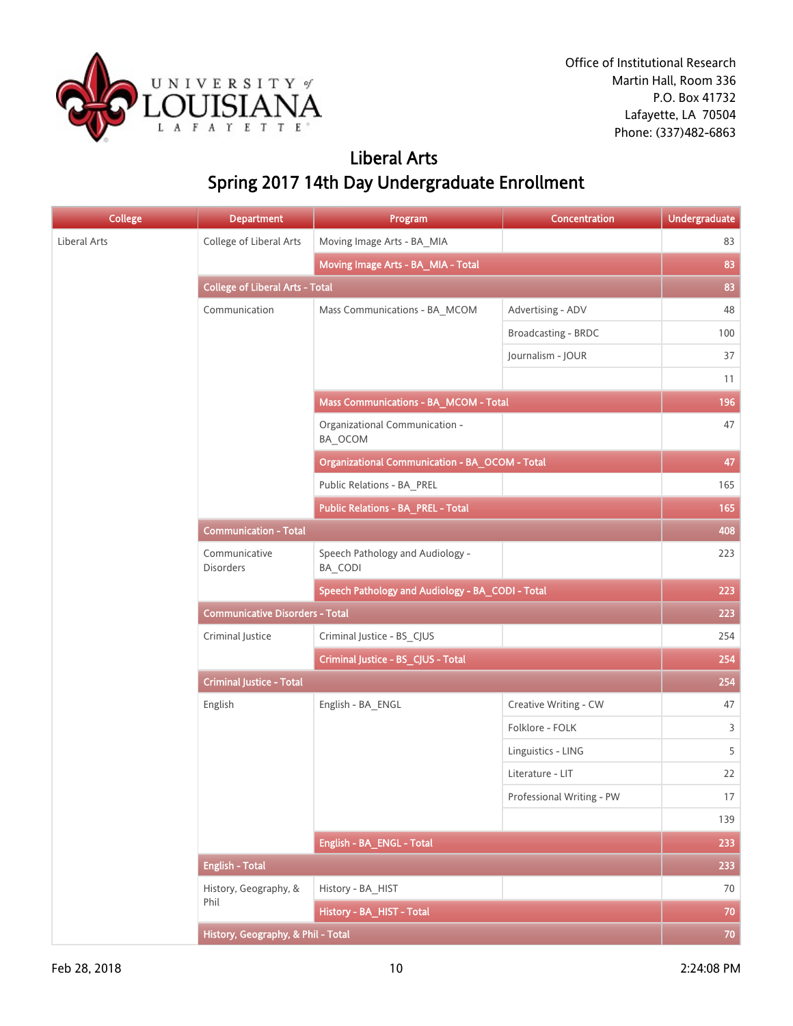

#### Liberal Arts Spring 2017 14th Day Undergraduate Enrollment

| <b>College</b> | <b>Department</b>                                | Program                                        | Concentration             | <b>Undergraduate</b> |
|----------------|--------------------------------------------------|------------------------------------------------|---------------------------|----------------------|
| Liberal Arts   | College of Liberal Arts                          | Moving Image Arts - BA_MIA                     |                           | 83                   |
|                |                                                  | Moving Image Arts - BA_MIA - Total             |                           | 83                   |
|                | <b>College of Liberal Arts - Total</b>           |                                                |                           | 83                   |
|                | Communication                                    | Mass Communications - BA_MCOM                  | Advertising - ADV         | 48                   |
|                |                                                  |                                                | Broadcasting - BRDC       | 100                  |
|                |                                                  |                                                | Journalism - JOUR         | 37                   |
|                |                                                  |                                                |                           | 11                   |
|                |                                                  | Mass Communications - BA_MCOM - Total          |                           | 196                  |
|                |                                                  | Organizational Communication -<br>BA_OCOM      |                           | 47                   |
|                |                                                  | Organizational Communication - BA_OCOM - Total |                           | 47                   |
|                |                                                  | Public Relations - BA_PREL                     |                           | 165                  |
|                |                                                  | <b>Public Relations - BA_PREL - Total</b>      |                           | 165                  |
|                | <b>Communication - Total</b>                     |                                                |                           | 408                  |
|                | Communicative<br><b>Disorders</b>                | Speech Pathology and Audiology -<br>BA_CODI    |                           | 223                  |
|                | Speech Pathology and Audiology - BA_CODI - Total |                                                |                           | 223                  |
|                | <b>Communicative Disorders - Total</b>           |                                                |                           | 223                  |
|                | Criminal Justice                                 | Criminal Justice - BS_CJUS                     |                           | 254                  |
|                |                                                  | Criminal Justice - BS_CJUS - Total             |                           | 254                  |
|                | <b>Criminal Justice - Total</b>                  |                                                |                           | 254                  |
|                | English                                          | English - BA_ENGL                              | Creative Writing - CW     | 47                   |
|                |                                                  |                                                | Folklore - FOLK           | 3                    |
|                |                                                  |                                                | Linguistics - LING        | 5                    |
|                |                                                  |                                                | Literature - LIT          | 22                   |
|                |                                                  |                                                | Professional Writing - PW | 17                   |
|                |                                                  |                                                |                           | 139                  |
|                |                                                  | English - BA_ENGL - Total                      |                           | 233                  |
|                | <b>English - Total</b>                           |                                                |                           | 233                  |
|                | History, Geography, &                            | History - BA_HIST                              |                           | 70                   |
|                | Phil                                             | History - BA_HIST - Total                      |                           | 70                   |
|                | History, Geography, & Phil - Total               |                                                |                           | 70                   |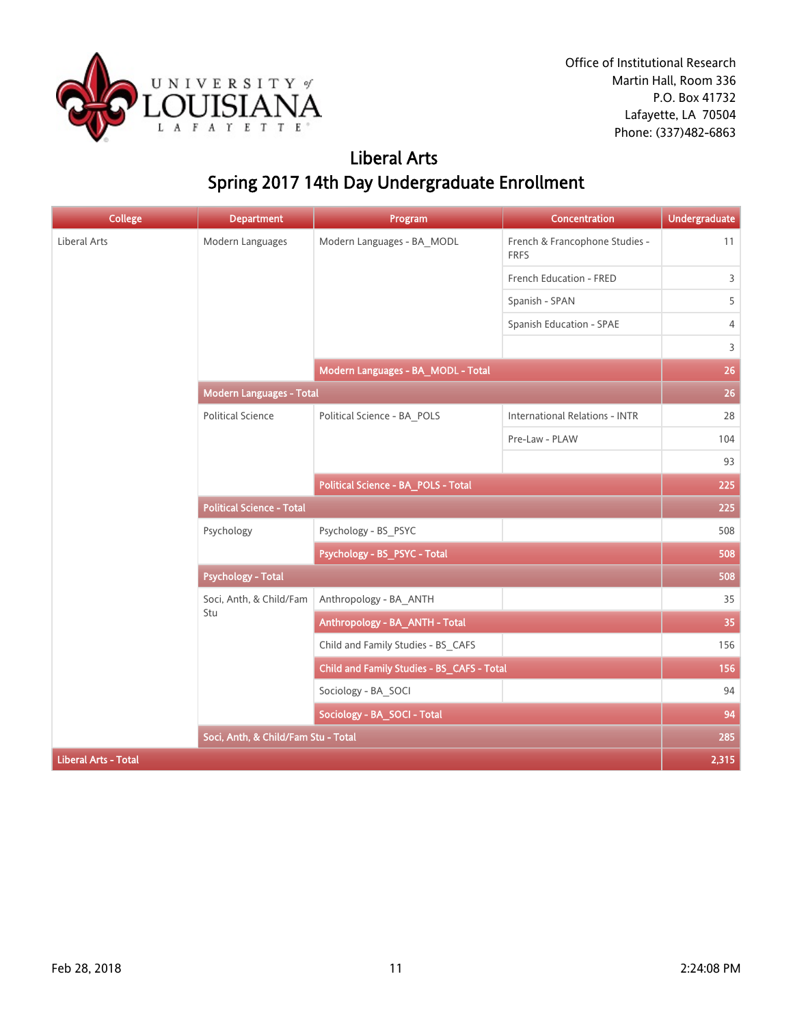

## Liberal Arts Spring 2017 14th Day Undergraduate Enrollment

| <b>College</b>              | <b>Department</b>                   | Program                                    | Concentration                                 | <b>Undergraduate</b> |
|-----------------------------|-------------------------------------|--------------------------------------------|-----------------------------------------------|----------------------|
| Liberal Arts                | Modern Languages                    | Modern Languages - BA MODL                 | French & Francophone Studies -<br><b>FRFS</b> | 11                   |
|                             |                                     |                                            | French Education - FRED                       | 3                    |
|                             |                                     |                                            | Spanish - SPAN                                | 5                    |
|                             |                                     |                                            | Spanish Education - SPAE                      | 4                    |
|                             |                                     |                                            |                                               | 3                    |
|                             |                                     | Modern Languages - BA_MODL - Total         |                                               | 26                   |
|                             | <b>Modern Languages - Total</b>     |                                            |                                               | 26                   |
|                             | <b>Political Science</b>            | Political Science - BA_POLS                | <b>International Relations - INTR</b>         | 28                   |
|                             |                                     |                                            | Pre-Law - PLAW                                | 104                  |
|                             |                                     |                                            |                                               | 93                   |
|                             |                                     | Political Science - BA_POLS - Total        |                                               | 225                  |
|                             | <b>Political Science - Total</b>    |                                            |                                               | 225                  |
|                             | Psychology                          | Psychology - BS_PSYC                       |                                               | 508                  |
|                             |                                     | Psychology - BS_PSYC - Total               |                                               | 508                  |
|                             | <b>Psychology - Total</b>           |                                            |                                               | 508                  |
|                             | Soci, Anth, & Child/Fam             | Anthropology - BA ANTH                     |                                               | 35                   |
|                             | Stu                                 | Anthropology - BA_ANTH - Total             |                                               | 35                   |
|                             |                                     | Child and Family Studies - BS CAFS         |                                               | 156                  |
|                             |                                     | Child and Family Studies - BS_CAFS - Total |                                               | 156                  |
|                             |                                     | Sociology - BA SOCI                        |                                               | 94                   |
|                             |                                     | Sociology - BA_SOCI - Total                |                                               | 94                   |
|                             | Soci, Anth, & Child/Fam Stu - Total |                                            |                                               | 285                  |
| <b>Liberal Arts - Total</b> |                                     |                                            |                                               | 2,315                |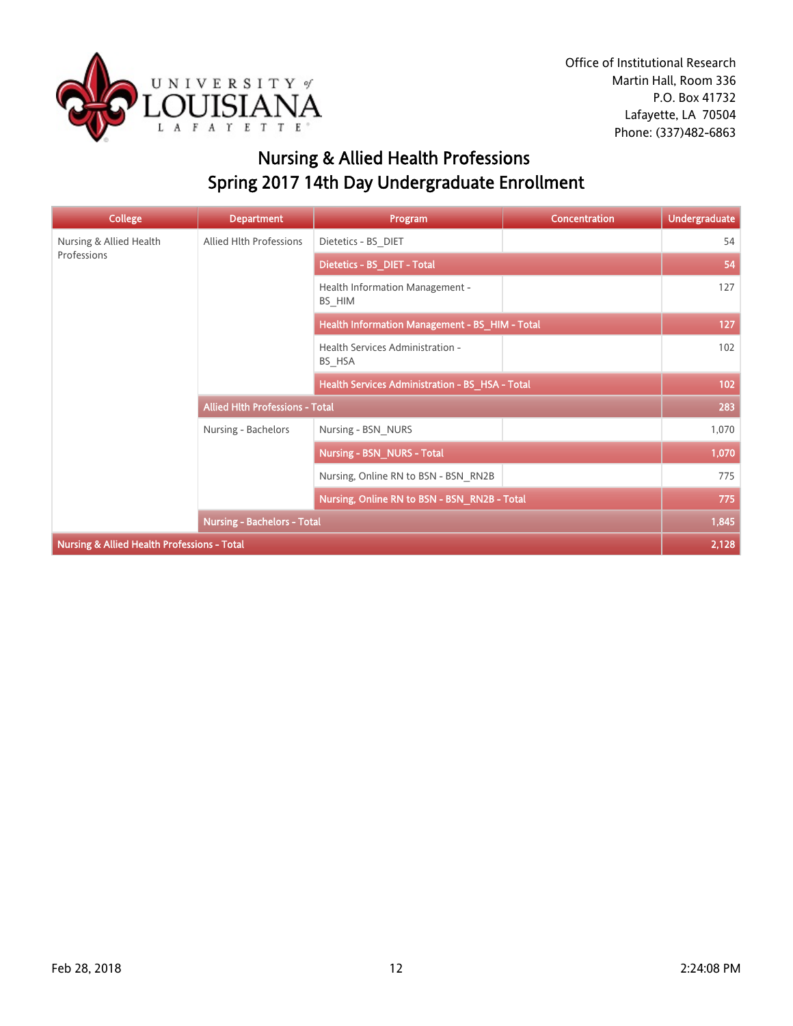

## Nursing & Allied Health Professions Spring 2017 14th Day Undergraduate Enrollment

| <b>College</b>                                         | <b>Department</b>                      | Program                                         | <b>Concentration</b> | <b>Undergraduate</b> |
|--------------------------------------------------------|----------------------------------------|-------------------------------------------------|----------------------|----------------------|
| Nursing & Allied Health                                | Allied Hlth Professions                | Dietetics - BS_DIET                             |                      | 54                   |
| Professions                                            |                                        | Dietetics - BS_DIET - Total                     |                      | 54                   |
|                                                        |                                        | Health Information Management -<br>BS HIM       |                      | 127                  |
|                                                        |                                        | Health Information Management - BS_HIM - Total  |                      | 127                  |
|                                                        |                                        | Health Services Administration -<br>BS HSA      |                      | 102                  |
|                                                        |                                        | Health Services Administration - BS_HSA - Total |                      | 102                  |
|                                                        | <b>Allied Hith Professions - Total</b> |                                                 |                      | 283                  |
|                                                        | Nursing - Bachelors                    | Nursing - BSN NURS                              |                      | 1,070                |
|                                                        |                                        | <b>Nursing - BSN NURS - Total</b>               |                      | 1,070                |
|                                                        |                                        | Nursing, Online RN to BSN - BSN_RN2B            |                      | 775                  |
|                                                        |                                        | Nursing, Online RN to BSN - BSN_RN2B - Total    |                      | 775                  |
|                                                        | <b>Nursing - Bachelors - Total</b>     |                                                 |                      | 1,845                |
| <b>Nursing &amp; Allied Health Professions - Total</b> |                                        |                                                 |                      | 2,128                |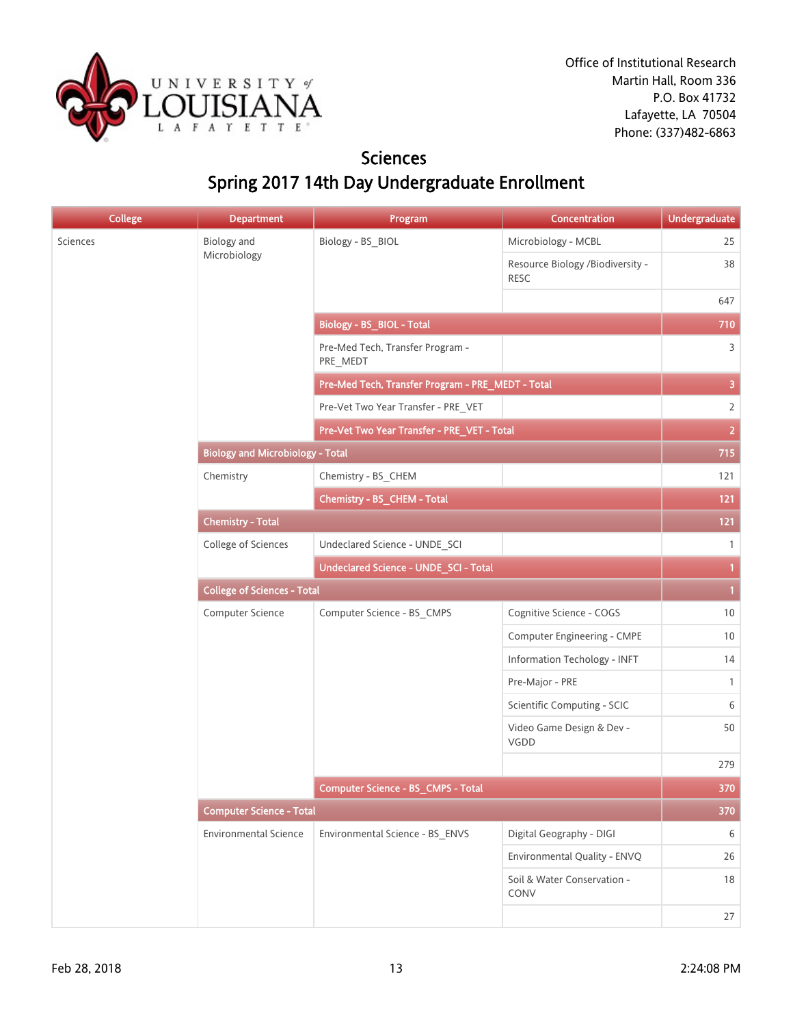

#### **Sciences** Spring 2017 14th Day Undergraduate Enrollment

| <b>College</b> | <b>Department</b>                       | Program                                           | Concentration                            | <b>Undergraduate</b>    |
|----------------|-----------------------------------------|---------------------------------------------------|------------------------------------------|-------------------------|
| Sciences       | <b>Biology</b> and                      | Biology - BS_BIOL                                 | Microbiology - MCBL                      | 25                      |
|                | Microbiology                            |                                                   | Resource Biology /Biodiversity -<br>RESC | 38                      |
|                |                                         |                                                   |                                          | 647                     |
|                |                                         | <b>Biology - BS_BIOL - Total</b>                  |                                          | 710                     |
|                |                                         | Pre-Med Tech, Transfer Program -<br>PRE_MEDT      |                                          | $\overline{3}$          |
|                |                                         | Pre-Med Tech, Transfer Program - PRE_MEDT - Total |                                          | $\overline{\mathbf{3}}$ |
|                |                                         | Pre-Vet Two Year Transfer - PRE_VET               |                                          | $\overline{2}$          |
|                |                                         | Pre-Vet Two Year Transfer - PRE_VET - Total       |                                          | $\overline{2}$          |
|                | <b>Biology and Microbiology - Total</b> |                                                   |                                          | 715                     |
|                | Chemistry                               | Chemistry - BS_CHEM                               |                                          | 121                     |
|                |                                         | Chemistry - BS_CHEM - Total                       |                                          | 121                     |
|                | <b>Chemistry - Total</b>                |                                                   | 121                                      |                         |
|                | College of Sciences                     | Undeclared Science - UNDE_SCI                     |                                          | $\mathbf{1}$            |
|                |                                         | Undeclared Science - UNDE_SCI - Total             |                                          | $\mathbf{1}$            |
|                | <b>College of Sciences - Total</b>      |                                                   |                                          |                         |
|                | Computer Science                        | Computer Science - BS_CMPS                        | Cognitive Science - COGS                 | $10$                    |
|                |                                         |                                                   | Computer Engineering - CMPE              | $10$                    |
|                |                                         |                                                   | Information Techology - INFT             | 14                      |
|                |                                         |                                                   | Pre-Major - PRE                          | $\mathbf{1}$            |
|                |                                         |                                                   | Scientific Computing - SCIC              | 6                       |
|                |                                         |                                                   | Video Game Design & Dev -<br>VGDD        | 50                      |
|                |                                         |                                                   |                                          | 279                     |
|                |                                         | Computer Science - BS_CMPS - Total                |                                          | 370                     |
|                | <b>Computer Science - Total</b>         |                                                   |                                          | 370                     |
|                | <b>Environmental Science</b>            | Environmental Science - BS_ENVS                   | Digital Geography - DIGI                 | 6                       |
|                |                                         |                                                   | Environmental Quality - ENVQ             | 26                      |
|                |                                         |                                                   | Soil & Water Conservation -<br>CONV      | $18\,$                  |
|                |                                         |                                                   |                                          | 27                      |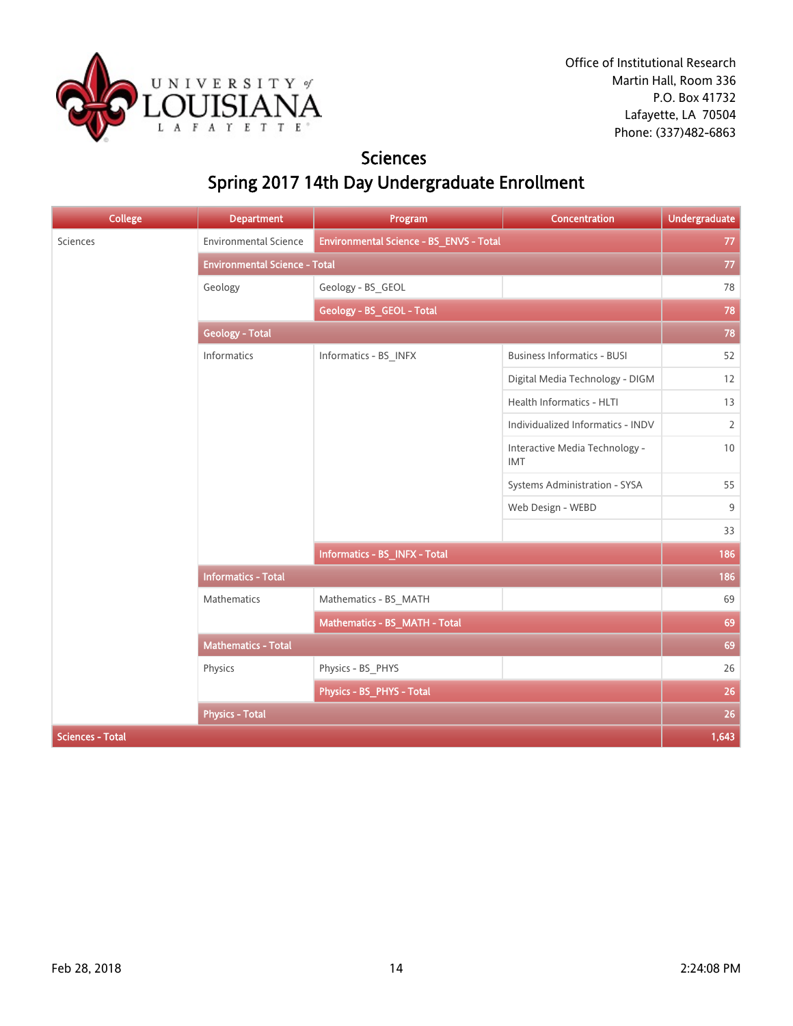

#### **Sciences** Spring 2017 14th Day Undergraduate Enrollment

| <b>College</b>          | <b>Department</b>                    | Program                                 | Concentration                                | <b>Undergraduate</b> |  |
|-------------------------|--------------------------------------|-----------------------------------------|----------------------------------------------|----------------------|--|
| Sciences                | <b>Environmental Science</b>         | Environmental Science - BS_ENVS - Total |                                              | 77                   |  |
|                         | <b>Environmental Science - Total</b> |                                         |                                              | $77\,$               |  |
|                         | Geology                              | Geology - BS_GEOL                       |                                              | 78                   |  |
|                         |                                      | Geology - BS_GEOL - Total               |                                              |                      |  |
|                         | <b>Geology - Total</b>               |                                         |                                              |                      |  |
|                         | Informatics                          | Informatics - BS_INFX                   | <b>Business Informatics - BUSI</b>           | 52                   |  |
|                         |                                      |                                         | Digital Media Technology - DIGM              | $12\,$               |  |
|                         |                                      |                                         | Health Informatics - HLTI                    | 13                   |  |
|                         |                                      |                                         | Individualized Informatics - INDV            | $\mathbf{2}$         |  |
|                         |                                      |                                         | Interactive Media Technology -<br><b>IMT</b> | 10                   |  |
|                         |                                      |                                         | Systems Administration - SYSA                | 55                   |  |
|                         |                                      |                                         | Web Design - WEBD                            | 9                    |  |
|                         |                                      |                                         |                                              | 33                   |  |
|                         |                                      | Informatics - BS_INFX - Total           |                                              | 186                  |  |
|                         | <b>Informatics - Total</b>           |                                         |                                              | 186                  |  |
|                         | Mathematics                          | Mathematics - BS_MATH                   |                                              | 69                   |  |
|                         |                                      | Mathematics - BS_MATH - Total           |                                              | 69                   |  |
|                         | <b>Mathematics - Total</b>           |                                         |                                              | 69                   |  |
|                         | Physics                              | Physics - BS_PHYS                       |                                              | 26                   |  |
|                         |                                      | Physics - BS_PHYS - Total               |                                              | 26                   |  |
|                         | <b>Physics - Total</b>               |                                         |                                              | 26                   |  |
| <b>Sciences - Total</b> |                                      |                                         |                                              | 1,643                |  |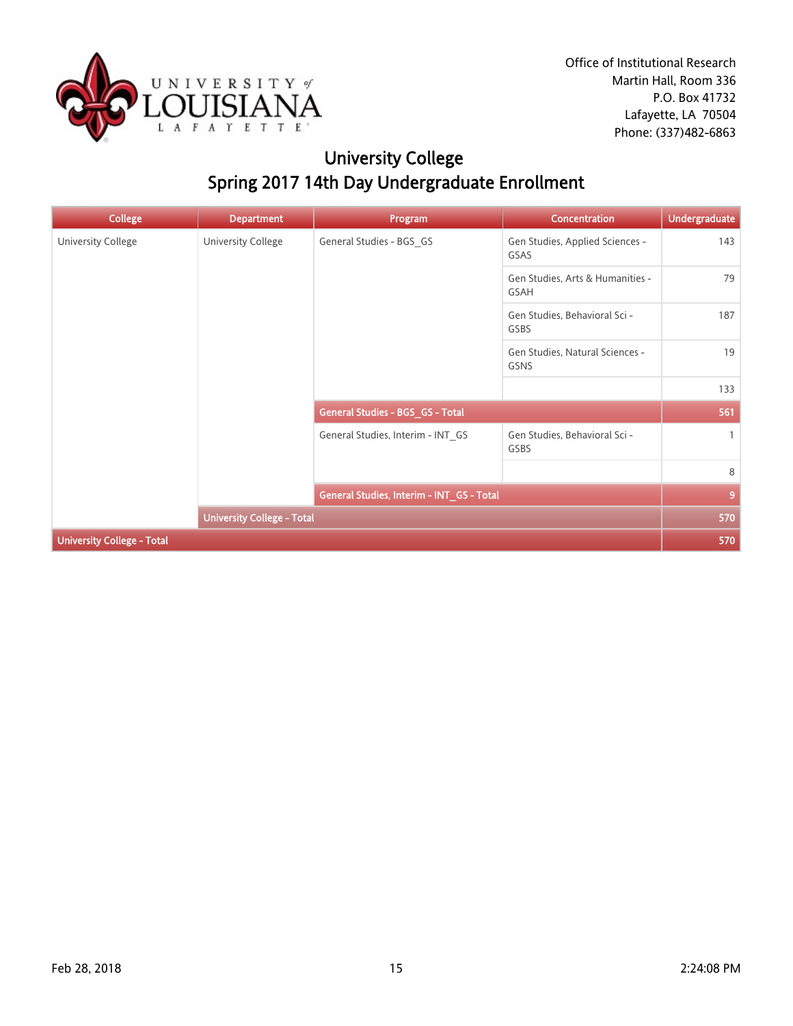

## University College Spring 2017 14th Day Undergraduate Enrollment

| <b>College</b>                    | <b>Department</b>  | Program                                   | <b>Concentration</b>                           | <b>Undergraduate</b> |
|-----------------------------------|--------------------|-------------------------------------------|------------------------------------------------|----------------------|
| University College                | University College | General Studies - BGS_GS                  | Gen Studies, Applied Sciences -<br>GSAS        | 143                  |
|                                   |                    |                                           | Gen Studies, Arts & Humanities -<br>GSAH       | 79                   |
|                                   |                    |                                           | Gen Studies, Behavioral Sci -<br>GSBS          | 187                  |
|                                   |                    |                                           | Gen Studies, Natural Sciences -<br><b>GSNS</b> | 19                   |
|                                   |                    |                                           |                                                | 133                  |
|                                   |                    | General Studies - BGS_GS - Total          |                                                | 561                  |
|                                   |                    | General Studies, Interim - INT_GS         | Gen Studies, Behavioral Sci -<br>GSBS          | $\mathbf{1}$         |
|                                   |                    |                                           |                                                | 8                    |
|                                   |                    | General Studies, Interim - INT_GS - Total |                                                | $\overline{9}$       |
|                                   |                    | <b>University College - Total</b>         |                                                |                      |
| <b>University College - Total</b> |                    |                                           |                                                | 570                  |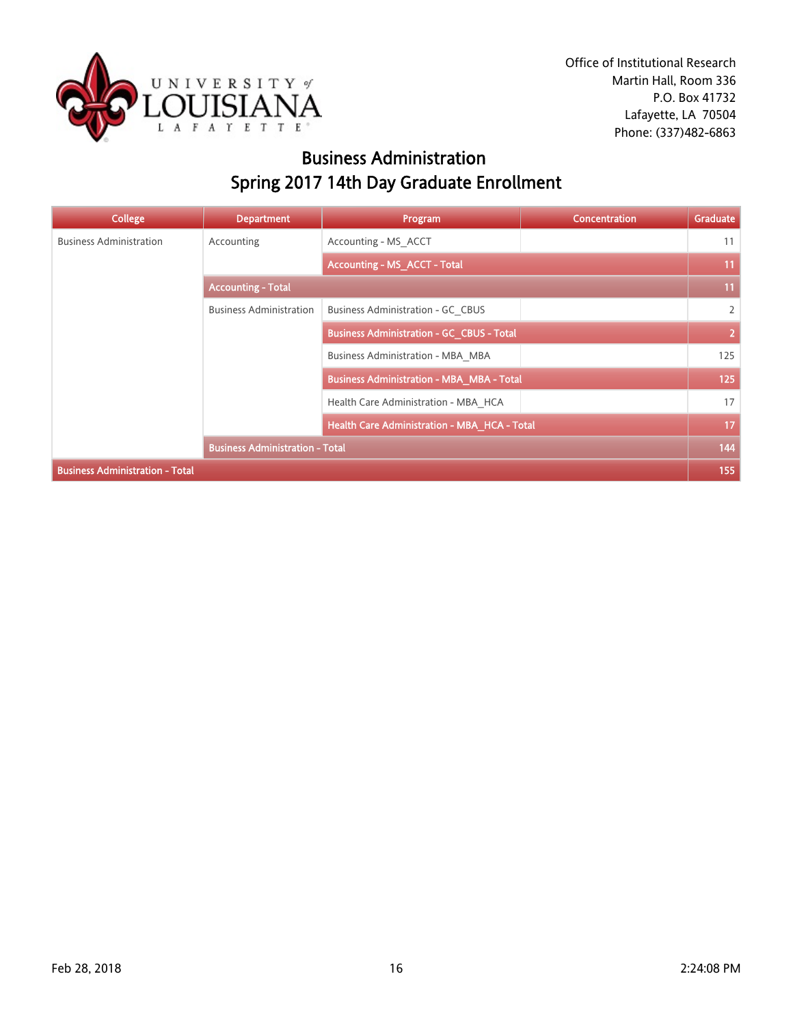

## Business Administration Spring 2017 14th Day Graduate Enrollment

| College                                | <b>Department</b>                      | Program                                          | <b>Concentration</b> | Graduate       |
|----------------------------------------|----------------------------------------|--------------------------------------------------|----------------------|----------------|
| <b>Business Administration</b>         | Accounting                             | Accounting - MS_ACCT                             |                      | 11             |
|                                        |                                        | <b>Accounting - MS_ACCT - Total</b>              |                      | 11             |
|                                        | <b>Accounting - Total</b>              |                                                  |                      | 11             |
|                                        | <b>Business Administration</b>         | Business Administration - GC CBUS                |                      | $\overline{2}$ |
|                                        |                                        | <b>Business Administration - GC_CBUS - Total</b> |                      | $\overline{2}$ |
|                                        |                                        | Business Administration - MBA_MBA                |                      | 125            |
|                                        |                                        | <b>Business Administration - MBA_MBA - Total</b> |                      | 125            |
|                                        |                                        | Health Care Administration - MBA_HCA             |                      | 17             |
|                                        |                                        | Health Care Administration - MBA_HCA - Total     |                      | 17             |
|                                        | <b>Business Administration - Total</b> |                                                  |                      | 144            |
| <b>Business Administration - Total</b> |                                        |                                                  |                      | 155            |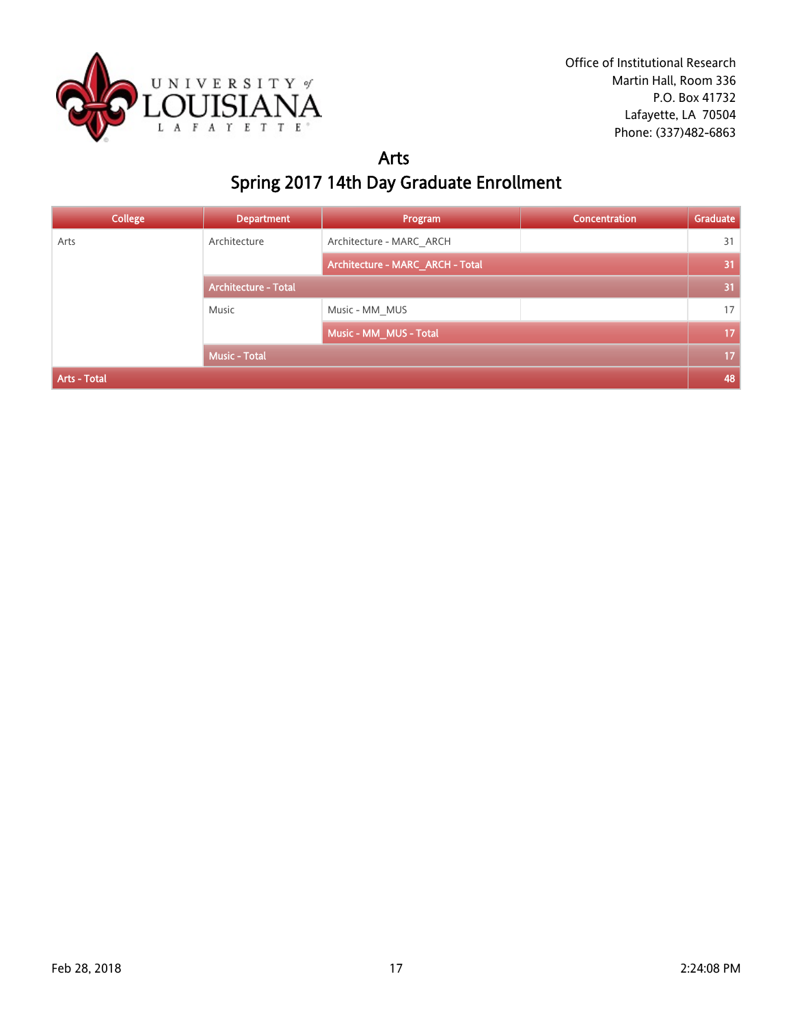

#### Arts Spring 2017 14th Day Graduate Enrollment

| <b>College</b> | <b>Department</b>           | Program                          | <b>Concentration</b> | Graduate |
|----------------|-----------------------------|----------------------------------|----------------------|----------|
| Arts           | Architecture                | Architecture - MARC ARCH         |                      | 31       |
|                |                             | Architecture - MARC_ARCH - Total |                      | 31       |
|                | <b>Architecture - Total</b> |                                  |                      | 31       |
|                | Music                       | Music - MM MUS                   |                      | 17       |
|                |                             | Music - MM_MUS - Total           |                      | 17       |
|                | <b>Music - Total</b>        |                                  |                      | 17       |
| Arts - Total   |                             |                                  |                      |          |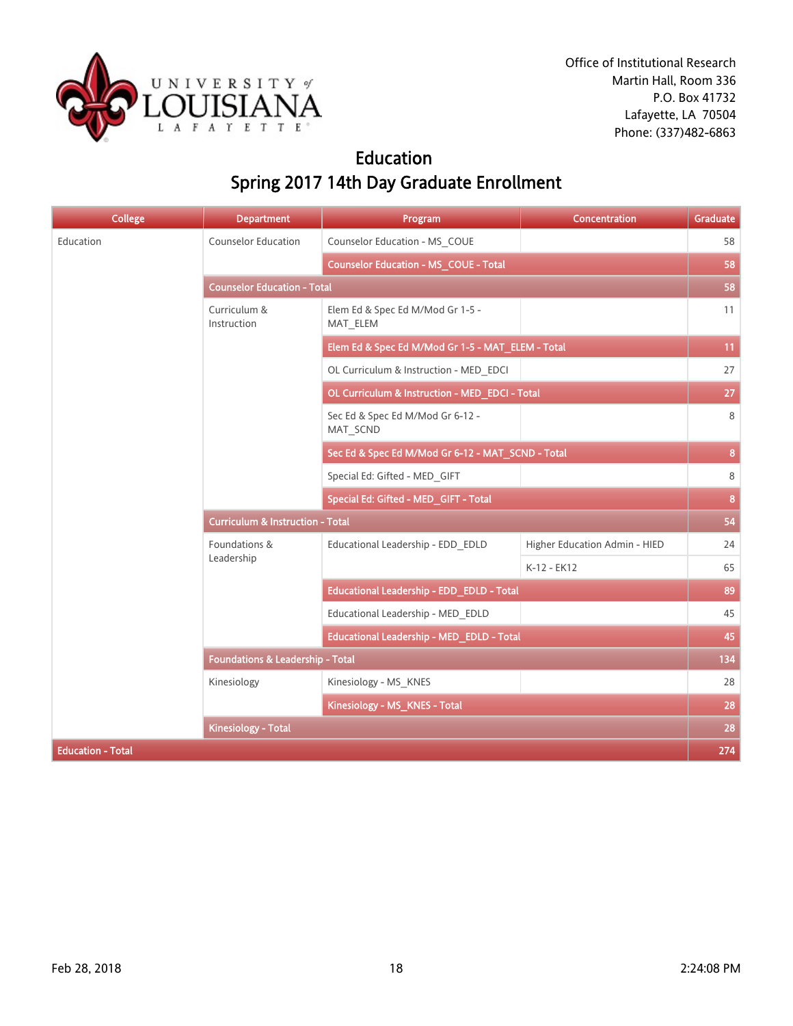

#### Education Spring 2017 14th Day Graduate Enrollment

| <b>College</b>           | <b>Department</b>                           | Program                                           | <b>Concentration</b>          | <b>Graduate</b> |
|--------------------------|---------------------------------------------|---------------------------------------------------|-------------------------------|-----------------|
| Education                | <b>Counselor Education</b>                  | Counselor Education - MS COUE                     |                               | 58              |
|                          |                                             | <b>Counselor Education - MS_COUE - Total</b>      |                               | 58              |
|                          | <b>Counselor Education - Total</b>          |                                                   |                               | 58              |
|                          | Curriculum &<br>Instruction                 | Elem Ed & Spec Ed M/Mod Gr 1-5 -<br>MAT_ELEM      |                               | 11              |
|                          |                                             | Elem Ed & Spec Ed M/Mod Gr 1-5 - MAT_ELEM - Total |                               | 11              |
|                          |                                             | OL Curriculum & Instruction - MED EDCI            |                               | 27              |
|                          |                                             | OL Curriculum & Instruction - MED_EDCI - Total    |                               | 27              |
|                          |                                             | Sec Ed & Spec Ed M/Mod Gr 6-12 -<br>MAT SCND      |                               | 8               |
|                          |                                             | Sec Ed & Spec Ed M/Mod Gr 6-12 - MAT_SCND - Total |                               | 8 <sup>°</sup>  |
|                          |                                             | Special Ed: Gifted - MED_GIFT                     |                               | 8               |
|                          |                                             | Special Ed: Gifted - MED_GIFT - Total             |                               | 8 <sup>°</sup>  |
|                          | <b>Curriculum &amp; Instruction - Total</b> |                                                   |                               |                 |
|                          | Foundations &                               | Educational Leadership - EDD_EDLD                 | Higher Education Admin - HIED | 24              |
|                          | Leadership                                  |                                                   | K-12 - EK12                   | 65              |
|                          |                                             | Educational Leadership - EDD EDLD - Total         |                               | 89              |
|                          |                                             | Educational Leadership - MED EDLD                 |                               | 45              |
|                          |                                             | Educational Leadership - MED_EDLD - Total         |                               | 45              |
|                          | <b>Foundations &amp; Leadership - Total</b> |                                                   |                               | 134             |
|                          | Kinesiology                                 | Kinesiology - MS KNES                             |                               | 28              |
|                          |                                             | Kinesiology - MS_KNES - Total                     |                               | 28              |
|                          | <b>Kinesiology - Total</b>                  |                                                   |                               | 28              |
| <b>Education - Total</b> |                                             |                                                   |                               | 274             |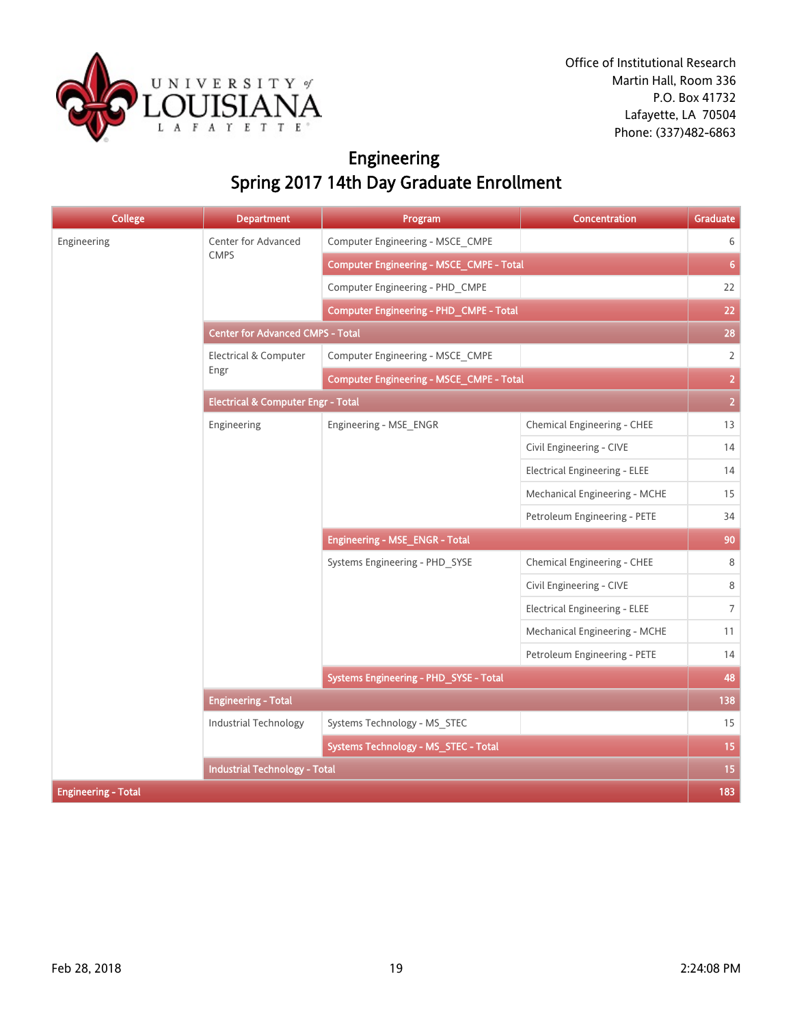

## Engineering Spring 2017 14th Day Graduate Enrollment

| <b>College</b>             | <b>Department</b>                             | Program                                         | <b>Concentration</b>                                                                                                                                                                                                                                                                                                                 | Graduate       |
|----------------------------|-----------------------------------------------|-------------------------------------------------|--------------------------------------------------------------------------------------------------------------------------------------------------------------------------------------------------------------------------------------------------------------------------------------------------------------------------------------|----------------|
| Engineering                | Center for Advanced                           | Computer Engineering - MSCE CMPE                | Chemical Engineering - CHEE<br>Civil Engineering - CIVE<br><b>Electrical Engineering - ELEE</b><br>Mechanical Engineering - MCHE<br>Petroleum Engineering - PETE<br>Chemical Engineering - CHEE<br>Civil Engineering - CIVE<br><b>Electrical Engineering - ELEE</b><br>Mechanical Engineering - MCHE<br>Petroleum Engineering - PETE | 6              |
|                            | <b>CMPS</b>                                   | Computer Engineering - MSCE_CMPE - Total        |                                                                                                                                                                                                                                                                                                                                      | 6 <sup>1</sup> |
|                            |                                               | Computer Engineering - PHD CMPE                 |                                                                                                                                                                                                                                                                                                                                      | 22             |
|                            |                                               | Computer Engineering - PHD_CMPE - Total         |                                                                                                                                                                                                                                                                                                                                      | 22             |
|                            | <b>Center for Advanced CMPS - Total</b>       |                                                 |                                                                                                                                                                                                                                                                                                                                      | 28             |
|                            | Electrical & Computer                         | Computer Engineering - MSCE CMPE                |                                                                                                                                                                                                                                                                                                                                      | $\overline{2}$ |
|                            | Engr                                          | <b>Computer Engineering - MSCE_CMPE - Total</b> |                                                                                                                                                                                                                                                                                                                                      | $\overline{2}$ |
|                            | <b>Electrical &amp; Computer Engr - Total</b> |                                                 |                                                                                                                                                                                                                                                                                                                                      |                |
|                            | Engineering                                   | Engineering - MSE ENGR                          |                                                                                                                                                                                                                                                                                                                                      | 13             |
|                            |                                               |                                                 |                                                                                                                                                                                                                                                                                                                                      | 14             |
|                            |                                               |                                                 |                                                                                                                                                                                                                                                                                                                                      | 14             |
|                            |                                               |                                                 |                                                                                                                                                                                                                                                                                                                                      | 15             |
|                            |                                               |                                                 |                                                                                                                                                                                                                                                                                                                                      | 34             |
|                            |                                               | Engineering - MSE_ENGR - Total                  |                                                                                                                                                                                                                                                                                                                                      |                |
|                            |                                               | Systems Engineering - PHD_SYSE                  |                                                                                                                                                                                                                                                                                                                                      | 8              |
|                            |                                               |                                                 |                                                                                                                                                                                                                                                                                                                                      | 8              |
|                            |                                               |                                                 |                                                                                                                                                                                                                                                                                                                                      | $\overline{7}$ |
|                            |                                               |                                                 |                                                                                                                                                                                                                                                                                                                                      | 11             |
|                            |                                               |                                                 |                                                                                                                                                                                                                                                                                                                                      | 14             |
|                            |                                               | Systems Engineering - PHD_SYSE - Total          |                                                                                                                                                                                                                                                                                                                                      | 48             |
|                            | <b>Engineering - Total</b>                    |                                                 |                                                                                                                                                                                                                                                                                                                                      | 138            |
|                            | <b>Industrial Technology</b>                  | Systems Technology - MS_STEC                    |                                                                                                                                                                                                                                                                                                                                      | 15             |
|                            |                                               | Systems Technology - MS_STEC - Total            |                                                                                                                                                                                                                                                                                                                                      | 15             |
|                            | <b>Industrial Technology - Total</b>          |                                                 |                                                                                                                                                                                                                                                                                                                                      | 15             |
| <b>Engineering - Total</b> |                                               |                                                 |                                                                                                                                                                                                                                                                                                                                      | 183            |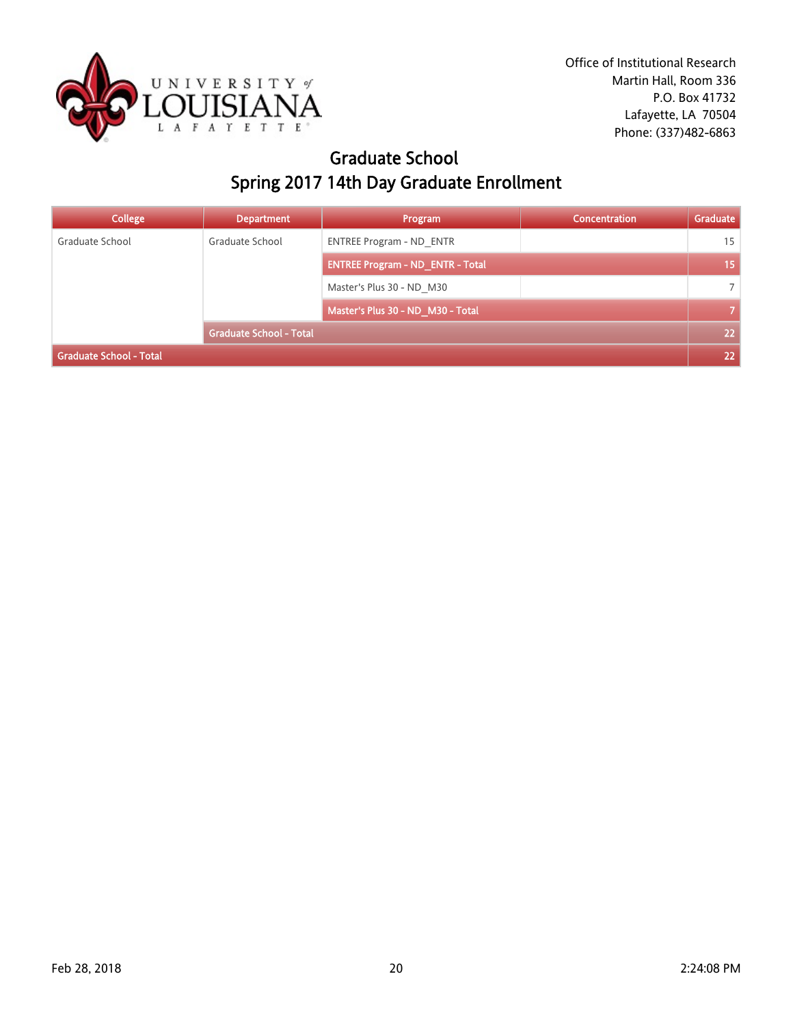

#### Graduate School Spring 2017 14th Day Graduate Enrollment

| <b>College</b>          | <b>Department</b>              | Program                                 | Concentration | Graduate       |
|-------------------------|--------------------------------|-----------------------------------------|---------------|----------------|
| Graduate School         | Graduate School                | <b>ENTREE Program - ND ENTR</b>         |               | 15             |
|                         |                                | <b>ENTREE Program - ND_ENTR - Total</b> |               | 15             |
|                         |                                | Master's Plus 30 - ND M30               |               | 7              |
|                         |                                | Master's Plus 30 - ND_M30 - Total       |               | $\overline{7}$ |
|                         | <b>Graduate School - Total</b> |                                         |               | 22             |
| Graduate School - Total |                                |                                         |               | 22             |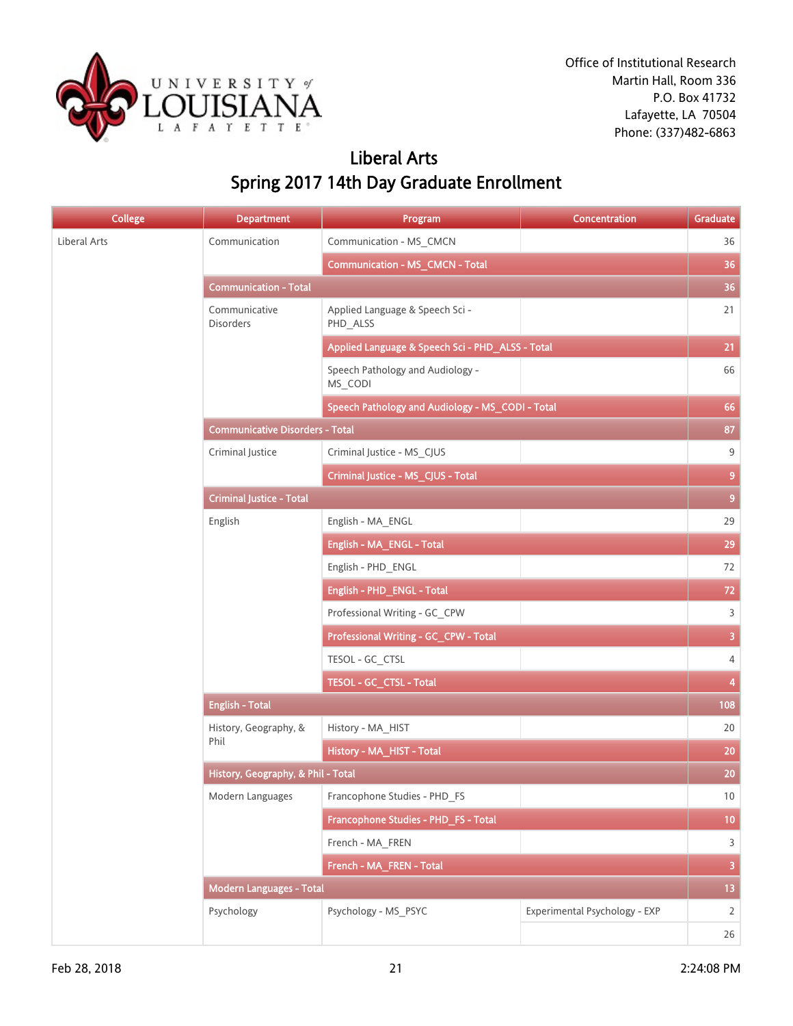

## Liberal Arts Spring 2017 14th Day Graduate Enrollment

| <b>College</b> | <b>Department</b>                      | Program                                          | Concentration                 | Graduate                |
|----------------|----------------------------------------|--------------------------------------------------|-------------------------------|-------------------------|
| Liberal Arts   | Communication                          | Communication - MS_CMCN                          |                               | 36                      |
|                |                                        | <b>Communication - MS_CMCN - Total</b>           |                               | 36                      |
|                | <b>Communication - Total</b>           |                                                  |                               | 36                      |
|                | Communicative<br><b>Disorders</b>      | Applied Language & Speech Sci -<br>PHD_ALSS      |                               | 21                      |
|                |                                        | Applied Language & Speech Sci - PHD_ALSS - Total |                               | 21                      |
|                |                                        | Speech Pathology and Audiology -<br>MS_CODI      |                               | 66                      |
|                |                                        | Speech Pathology and Audiology - MS_CODI - Total |                               | 66                      |
|                | <b>Communicative Disorders - Total</b> |                                                  |                               | 87                      |
|                | Criminal Justice                       | Criminal Justice - MS_CJUS                       |                               | 9                       |
|                |                                        | Criminal Justice - MS_CJUS - Total               |                               | $\overline{9}$          |
|                | <b>Criminal Justice - Total</b>        |                                                  |                               | 9 <sup>°</sup>          |
|                | English                                | English - MA_ENGL                                |                               | 29                      |
|                |                                        | English - MA_ENGL - Total                        |                               | 29                      |
|                |                                        | English - PHD_ENGL                               |                               | 72                      |
|                |                                        | English - PHD_ENGL - Total                       |                               | 72                      |
|                |                                        | Professional Writing - GC_CPW                    |                               | $\overline{3}$          |
|                |                                        | Professional Writing - GC_CPW - Total            |                               | $\overline{3}$          |
|                |                                        | TESOL - GC_CTSL                                  |                               | $\overline{4}$          |
|                |                                        | TESOL - GC_CTSL - Total                          |                               | $\overline{\mathbf{4}}$ |
|                | <b>English - Total</b>                 |                                                  |                               | 108                     |
|                | History, Geography, &<br>Phil          | History - MA_HIST                                |                               | 20                      |
|                |                                        | History - MA_HIST - Total                        |                               | 20                      |
|                | History, Geography, & Phil - Total     |                                                  |                               | 20                      |
|                | Modern Languages                       | Francophone Studies - PHD FS                     |                               | 10                      |
|                |                                        | Francophone Studies - PHD_FS - Total             |                               | 10 <sub>1</sub>         |
|                |                                        | French - MA_FREN                                 |                               | $\mathsf{3}$            |
|                |                                        | French - MA_FREN - Total                         |                               | $\overline{\mathbf{3}}$ |
|                | <b>Modern Languages - Total</b>        |                                                  |                               | 13 <sup>°</sup>         |
|                | Psychology                             | Psychology - MS_PSYC                             | Experimental Psychology - EXP | $\overline{2}$          |
|                |                                        |                                                  |                               | 26                      |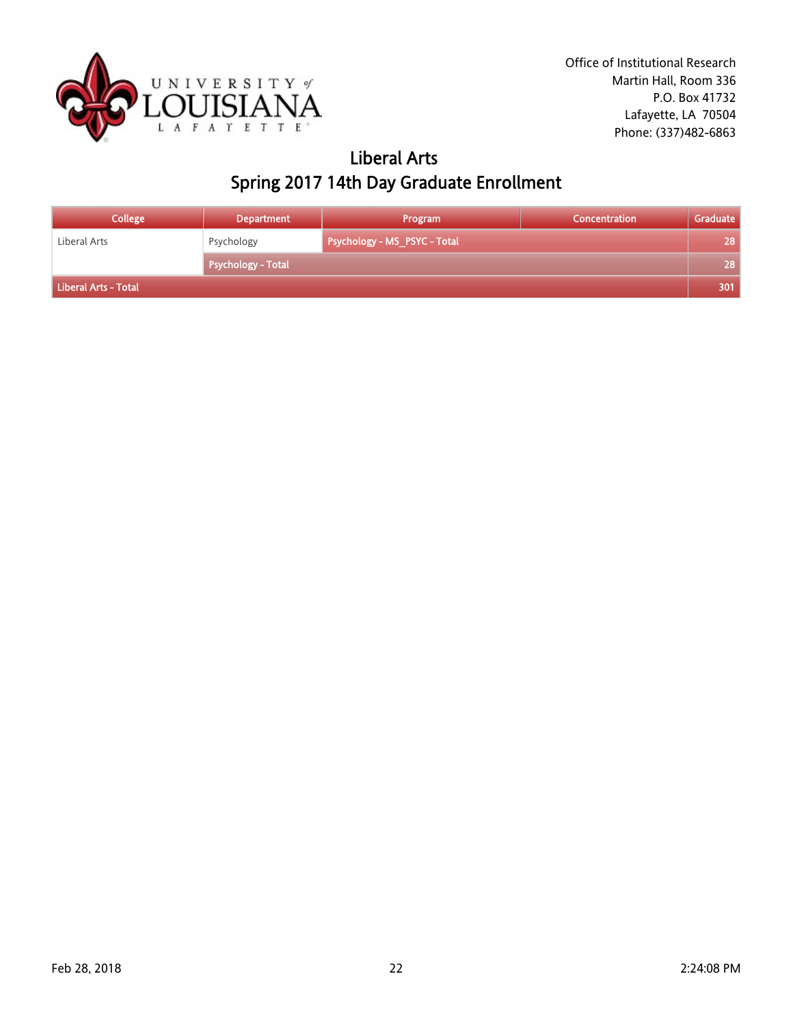

## Liberal Arts Spring 2017 14th Day Graduate Enrollment

| <b>College</b>       | <b>Department</b>         | Program                             | <b>Concentration</b> | Graduate |
|----------------------|---------------------------|-------------------------------------|----------------------|----------|
| Liberal Arts         | Psychology                | <b>Psychology - MS_PSYC - Total</b> |                      | 28       |
|                      | <b>Psychology - Total</b> |                                     |                      | 28       |
| Liberal Arts - Total |                           |                                     |                      | 301      |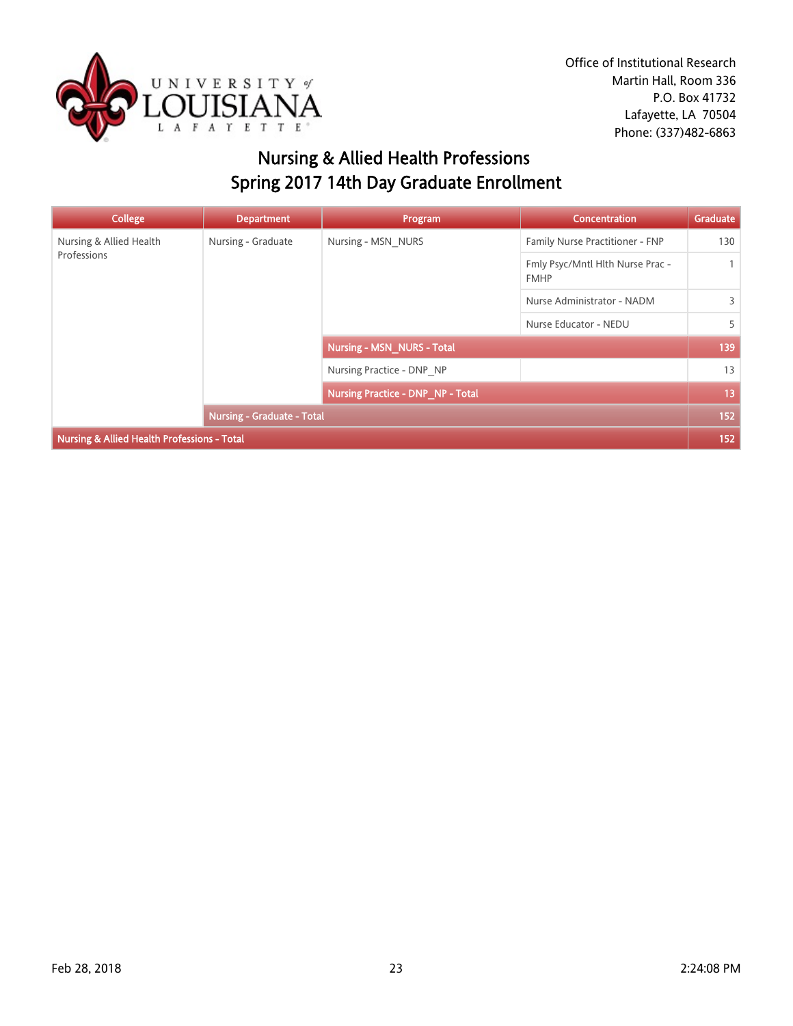

Office of Institutional Research Martin Hall, Room 336 P.O. Box 41732 Lafayette, LA 70504 Phone: (337)482-6863

## Nursing & Allied Health Professions Spring 2017 14th Day Graduate Enrollment

| College                                                | <b>Department</b>                 | Program                                  | <b>Concentration</b>                            | Graduate     |
|--------------------------------------------------------|-----------------------------------|------------------------------------------|-------------------------------------------------|--------------|
| Nursing & Allied Health<br>Professions                 | Nursing - Graduate                | Nursing - MSN NURS                       | Family Nurse Practitioner - FNP                 | 130          |
|                                                        |                                   |                                          | Fmly Psyc/Mntl Hlth Nurse Prac -<br><b>FMHP</b> | $\mathbf{1}$ |
|                                                        |                                   |                                          | Nurse Administrator - NADM                      | 3            |
|                                                        |                                   |                                          | Nurse Educator - NEDU                           | 5            |
|                                                        |                                   | <b>Nursing - MSN_NURS - Total</b>        |                                                 | 139          |
|                                                        |                                   | Nursing Practice - DNP NP                |                                                 | 13           |
|                                                        |                                   | <b>Nursing Practice - DNP_NP - Total</b> |                                                 | 13           |
|                                                        | <b>Nursing - Graduate - Total</b> |                                          |                                                 | 152          |
| <b>Nursing &amp; Allied Health Professions - Total</b> |                                   |                                          |                                                 | 152          |